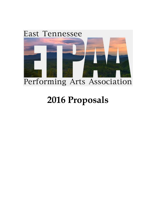

# **2016 Proposals**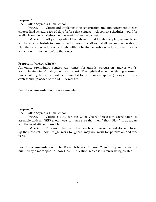## **Proposal 1:**

Rhett Butler, Seymour High School

*Proposal* Create and implement the construction and announcement of each contest final schedule for 10 days before that contest. All contest schedules would be available online by Wednesday the week before the contest.

*Rationale* All participants of that show would be able to plan, secure buses and hand out schedule to parents, performers and staff so that all parties may be able to plan their daily schedule accordingly without having to rush a schedule to their parents and students two days before the contest.

## **Proposal 1** *(revised 4/20/15)***:**

Announce preliminary contest start times (for guards, percussion, and/or winds) approximately ten (10) days before a contest. The logistical schedule (stating warm-up times, holding times, etc.) will be forwarded to the membership five (5) days prior to a contest and uploaded to the ETPAA website.

**Board Recommendation:** Pass as amended.

## **Proposal 2:**

Rhett Butler, Seymour High School

**\_\_\_\_\_\_\_\_\_\_\_\_\_\_\_\_\_\_\_\_\_\_\_\_\_\_\_\_\_\_\_\_\_\_\_\_\_\_\_\_\_\_\_\_\_\_\_\_\_\_\_\_\_\_\_\_\_\_\_\_\_\_\_**

*Rationale* This would help with the new host to make the best decision to set up their contest. What might work for guard, may not work for percussion and vice versa.

**Board Recommendation:** The Board believes Proposal 2 and Proposal 3 will be nullified by a more specific Show Host Application, which is currently being created.

**\_\_\_\_\_\_\_\_\_\_\_\_\_\_\_\_\_\_\_\_\_\_\_\_\_\_\_\_\_\_\_\_\_\_\_\_\_\_\_\_\_\_\_\_\_\_\_\_\_\_\_\_\_\_\_\_\_\_\_\_\_\_\_**

*Proposal* Create a duty for the Color Guard/Percussion coordinators to assemble with all *NEW* show hosts to make sure that their "Show Flow" is adequate and the most efficient possible.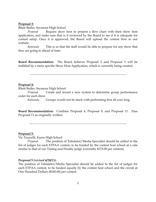## **Proposal 3:**

Rhett Butler, Seymour High School

*Proposal* Require show host to present a flow chart with their show host application, and make sure that is it reviewed by the Board to see if it is adequate for contest setup. Once it is approved, the Board will upload the contest flow to our website.

*Rationale* This is so that the staff would be able to prepare for any show that they are going to ahead of time.

**Board Recommendation:** The Board believes Proposal 2 and Proposal 3 will be nullified by a more specific Show Host Application, which is currently being created.

**\_\_\_\_\_\_\_\_\_\_\_\_\_\_\_\_\_\_\_\_\_\_\_\_\_\_\_\_\_\_\_\_\_\_\_\_\_\_\_\_\_\_\_\_\_\_\_\_\_\_\_\_\_\_\_\_\_\_\_\_\_\_\_**

# **Proposal 4:**

Rhett Butler, Seymour High School

*Proposal* Create and invent a new system to determine group performance order for each show.

*Rationale* Groups would not be stuck with performing first all year long.

**Board Recommendation:** Combine Proposal 4, Proposal 9, and Proposal 11. Pass Proposal 11 as originally written.

**\_\_\_\_\_\_\_\_\_\_\_\_\_\_\_\_\_\_\_\_\_\_\_\_\_\_\_\_\_\_\_\_\_\_\_\_\_\_\_\_\_\_\_\_\_\_\_\_\_\_\_\_\_\_\_\_\_\_\_\_\_\_\_**

## **Proposal 5:**

Vic Truscelli, Karns High School

*Proposal* The position of Tabulator/Media Specialist should be added to the list of judges for each ETPAA contest, to be funded by the contest host school at a rate similar to that of our Timing and Penalty judge (currently \$175.00 per contest).

#### **Proposal 5** *(revised 4/20/15)***:**

The position of Tabulator/Media Specialist should be added to the list of judges for each ETPAA contest, to be funded equally by the contest host school and the circuit at One Hundred Dollars (\$100.00) per contest.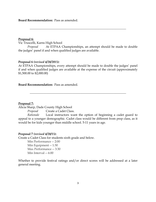**Board Recommendation:** Pass as amended.

## **Proposal 6:**

Vic Truscelli, Karns High School

*Proposal* At ETPAA Championships, an attempt should be made to double the judges' panel if and when qualified judges are available.

**\_\_\_\_\_\_\_\_\_\_\_\_\_\_\_\_\_\_\_\_\_\_\_\_\_\_\_\_\_\_\_\_\_\_\_\_\_\_\_\_\_\_\_\_\_\_\_\_\_\_\_\_\_\_\_\_\_\_\_\_\_\_\_**

# **Proposal 6** *(revised 4/20/2015):*

At ETPAA Championships, every attempt should be made to double the judges' panel if and when qualified judges are available at the expense of the circuit (approximately \$1,500.00 to \$2,000.00)

**\_\_\_\_\_\_\_\_\_\_\_\_\_\_\_\_\_\_\_\_\_\_\_\_\_\_\_\_\_\_\_\_\_\_\_\_\_\_\_\_\_\_\_\_\_\_\_\_\_\_\_\_\_\_\_\_\_\_\_\_\_\_\_**

# **Board Recommendation:** Pass as amended.

**Proposal 7:**

Alicia Sharp, Dade County High School

*Proposal* Create a Cadet Class.

*Rationale* Local instructors want the option of beginning a cadet guard to appeal to a younger demographic. Cadet class would be different from prep class, as it would be for kids younger than middle school. 5-11 years in age.

# **Proposal 7** *(revised 4/20/15)***:**

Create a Cadet Class for students sixth grade and below.

Min Performance -- 2:00 Min Equipment -- 1:30 Max Performance -- 3:30 Min Interval -- 6:00

Whether to provide festival ratings and/or direct scores will be addressed at a later general meeting.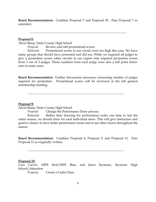**Board Recommendation:** Combine Proposal 7 and Proposal 10. Pass Proposal 7 as amended.

**\_\_\_\_\_\_\_\_\_\_\_\_\_\_\_\_\_\_\_\_\_\_\_\_\_\_\_\_\_\_\_\_\_\_\_\_\_\_\_\_\_\_\_\_\_\_\_\_\_\_\_\_\_\_\_\_\_\_\_\_\_\_\_**

## **Proposal 8:**

Alicia Sharp, Dade County High School

*Proposal* Review and edit promotional scores.

*Rationale* Promotional scores in our circuit were too high this year. We have many groups that should have promoted and did not. While we required all judges to give a promotion scores, other circuits in our region only required promotion scores from 3 out of 5 judges. Those numbers from each judge were also a full point below ours in some cases.

**Board Recommendation:** Further discussions necessary concerning number of judges required for promotion. Promotional scores will be reviewed at the fall general membership meeting.

**\_\_\_\_\_\_\_\_\_\_\_\_\_\_\_\_\_\_\_\_\_\_\_\_\_\_\_\_\_\_\_\_\_\_\_\_\_\_\_\_\_\_\_\_\_\_\_\_\_\_\_\_\_\_\_\_\_\_\_\_\_\_\_**

## **Proposal 9:**

Alicia Sharp, Dade County High School

*Proposal* Change the Performance Draw process.

*Rationale* Rather than drawing for performance order one time to last the entire season, we should draw for each individual show. This will give instructors and guard a chance to have better performance times and to see other shows throughout the season.

**Board Recommendation:** Combine Proposal 4, Proposal 9, and Proposal 11. Pass Proposal 11 as originally written.

**\_\_\_\_\_\_\_\_\_\_\_\_\_\_\_\_\_\_\_\_\_\_\_\_\_\_\_\_\_\_\_\_\_\_\_\_\_\_\_\_\_\_\_\_\_\_\_\_\_\_\_\_\_\_\_\_\_\_\_\_\_\_\_**

## **Proposal 10:**

Leza Carver, HIPE Red/HIPE Blue, and Jason Seymour, Seymour High School/Attraction

*Proposal* Create a Cadet Class.